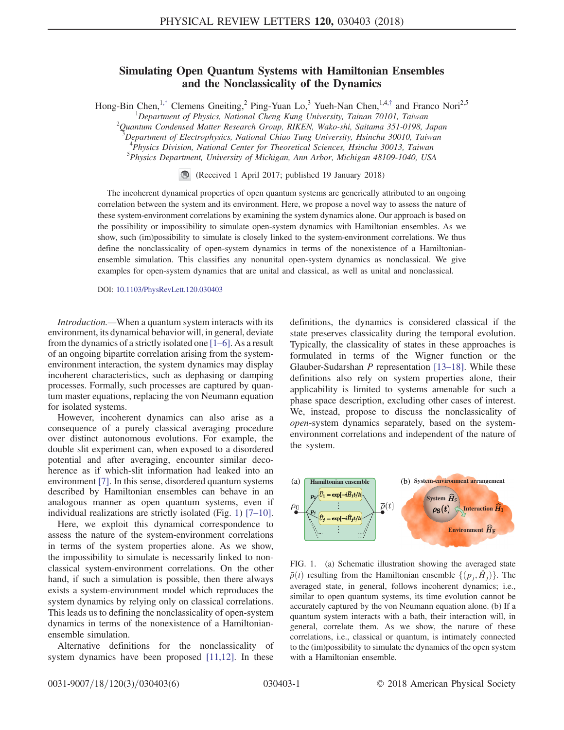## Simulating Open Quantum Systems with Hamiltonian Ensembles and the Nonclassicality of the Dynamics

<span id="page-0-1"></span>Hong-Bin Chen,<sup>1[,\\*](#page-4-0)</sup> Clemens Gneiting,<sup>2</sup> Ping-Yuan Lo,<sup>3</sup> Yueh-Nan Chen,<sup>1,4,[†](#page-4-1)</sup> and Franco Nori<sup>2,5</sup>

<sup>1</sup>Department of Physics, National Cheng Kung University, Tainan 70101, Taiwan<br><sup>2</sup>Quantum Condensed Matter Pessareh Croup, PIKEN Wake shi, Saitama 351,0108

 $^2$ Quantum Condensed Matter Research Group, RIKEN, Wako-shi, Saitama 351-0198, Japan

 $^3$ Department of Electrophysics, National Chiao Tung University, Hsinchu 30010, Taiwan

<sup>4</sup>Physics Division, National Center for Theoretical Sciences, Hsinchu 30013, Taiwan

<sup>5</sup>Physics Department, University of Michigan, Ann Arbor, Michigan 48109-1040, USA

(Received 1 April 2017; published 19 January 2018)

The incoherent dynamical properties of open quantum systems are generically attributed to an ongoing correlation between the system and its environment. Here, we propose a novel way to assess the nature of these system-environment correlations by examining the system dynamics alone. Our approach is based on the possibility or impossibility to simulate open-system dynamics with Hamiltonian ensembles. As we show, such (im)possibility to simulate is closely linked to the system-environment correlations. We thus define the nonclassicality of open-system dynamics in terms of the nonexistence of a Hamiltonianensemble simulation. This classifies any nonunital open-system dynamics as nonclassical. We give examples for open-system dynamics that are unital and classical, as well as unital and nonclassical.

DOI: [10.1103/PhysRevLett.120.030403](https://doi.org/10.1103/PhysRevLett.120.030403)

Introduction.—When a quantum system interacts with its environment, its dynamical behavior will, in general, deviate from the dynamics of a strictly isolated one [1–[6\]](#page-4-2). As a result of an ongoing bipartite correlation arising from the systemenvironment interaction, the system dynamics may display incoherent characteristics, such as dephasing or damping processes. Formally, such processes are captured by quantum master equations, replacing the von Neumann equation for isolated systems.

However, incoherent dynamics can also arise as a consequence of a purely classical averaging procedure over distinct autonomous evolutions. For example, the double slit experiment can, when exposed to a disordered potential and after averaging, encounter similar decoherence as if which-slit information had leaked into an environment [\[7\].](#page-4-3) In this sense, disordered quantum systems described by Hamiltonian ensembles can behave in an analogous manner as open quantum systems, even if individual realizations are strictly isolated (Fig. [1\)](#page-0-0) [7–[10\]](#page-4-3).

Here, we exploit this dynamical correspondence to assess the nature of the system-environment correlations in terms of the system properties alone. As we show, the impossibility to simulate is necessarily linked to nonclassical system-environment correlations. On the other hand, if such a simulation is possible, then there always exists a system-environment model which reproduces the system dynamics by relying only on classical correlations. This leads us to defining the nonclassicality of open-system dynamics in terms of the nonexistence of a Hamiltonianensemble simulation.

Alternative definitions for the nonclassicality of system dynamics have been proposed [\[11,12\]](#page-4-4). In these

definitions, the dynamics is considered classical if the state preserves classicality during the temporal evolution. Typically, the classicality of states in these approaches is formulated in terms of the Wigner function or the Glauber-Sudarshan P representation [13–[18\].](#page-5-0) While these definitions also rely on system properties alone, their applicability is limited to systems amenable for such a phase space description, excluding other cases of interest. We, instead, propose to discuss the nonclassicality of open-system dynamics separately, based on the systemenvironment correlations and independent of the nature of the system.

<span id="page-0-0"></span>

FIG. 1. (a) Schematic illustration showing the averaged state  $\bar{\rho}(t)$  resulting from the Hamiltonian ensemble  $\{(\rho_i, \hat{H}_i)\}\$ . The averaged state, in general, follows incoherent dynamics; i.e., similar to open quantum systems, its time evolution cannot be accurately captured by the von Neumann equation alone. (b) If a quantum system interacts with a bath, their interaction will, in general, correlate them. As we show, the nature of these correlations, i.e., classical or quantum, is intimately connected to the (im)possibility to simulate the dynamics of the open system with a Hamiltonian ensemble.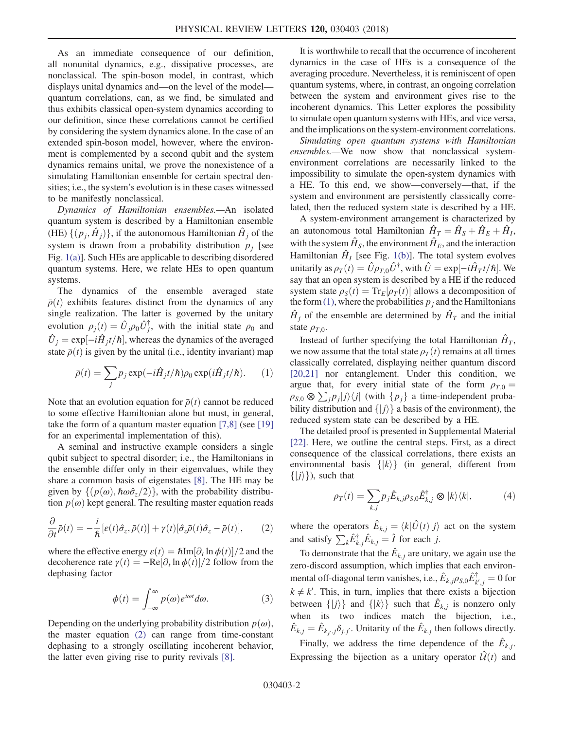As an immediate consequence of our definition, all nonunital dynamics, e.g., dissipative processes, are nonclassical. The spin-boson model, in contrast, which displays unital dynamics and—on the level of the model quantum correlations, can, as we find, be simulated and thus exhibits classical open-system dynamics according to our definition, since these correlations cannot be certified by considering the system dynamics alone. In the case of an extended spin-boson model, however, where the environment is complemented by a second qubit and the system dynamics remains unital, we prove the nonexistence of a simulating Hamiltonian ensemble for certain spectral densities; i.e., the system's evolution is in these cases witnessed to be manifestly nonclassical.

Dynamics of Hamiltonian ensembles.—An isolated quantum system is described by a Hamiltonian ensemble (HE)  $\{(\boldsymbol{p}_i, \hat{\boldsymbol{H}}_i)\}\$ , if the autonomous Hamiltonian  $\hat{\boldsymbol{H}}_i$  of the system is drawn from a probability distribution  $p_i$  [see Fig. [1\(a\)](#page-0-0)]. Such HEs are applicable to describing disordered quantum systems. Here, we relate HEs to open quantum systems.

The dynamics of the ensemble averaged state  $\bar{\rho}(t)$  exhibits features distinct from the dynamics of any single realization. The latter is governed by the unitary evolution  $\rho_j(t) = \hat{U}_j \rho_0 \hat{U}_j^{\dagger}$ , with the initial state  $\rho_0$  and  $\hat{U}_j = \exp[-i\hat{H}_j t/\hbar]$ , whereas the dynamics of the averaged<br>state  $\bar{\rho}(t)$  is given by the unital (i.e., identity invariant) man state  $\bar{\rho}(t)$  is given by the unital (i.e., identity invariant) map

<span id="page-1-1"></span>
$$
\bar{\rho}(t) = \sum_{j} p_j \exp(-i\hat{H}_j t/\hbar) \rho_0 \exp(i\hat{H}_j t/\hbar).
$$
 (1)

Note that an evolution equation for  $\bar{\rho}(t)$  cannot be reduced to some effective Hamiltonian alone but must, in general, take the form of a quantum master equation [\[7,8\]](#page-4-3) (see [\[19\]](#page-5-1) for an experimental implementation of this).

A seminal and instructive example considers a single qubit subject to spectral disorder; i.e., the Hamiltonians in the ensemble differ only in their eigenvalues, while they share a common basis of eigenstates [\[8\].](#page-4-5) The HE may be given by  $\{p(\omega), \hbar \omega \hat{\sigma}_z/2\}$ , with the probability distribution  $p(\omega)$  kept general. The resulting master equation reads

<span id="page-1-0"></span>
$$
\frac{\partial}{\partial t}\bar{\rho}(t) = -\frac{i}{\hbar}[\varepsilon(t)\hat{\sigma}_z, \bar{\rho}(t)] + \gamma(t)[\hat{\sigma}_z\bar{\rho}(t)\hat{\sigma}_z - \bar{\rho}(t)],\qquad(2)
$$

<span id="page-1-3"></span>where the effective energy  $\varepsilon(t) = \hbar Im[\partial_t \ln \phi(t)]/2$  and the decoherence rate  $v(t) = -Re[\partial \ln \phi(t)]/2$  follow from the decoherence rate  $\gamma(t) = -\text{Re}[\partial_t \ln \phi(t)]/2$  follow from the dephasing factor dephasing factor

$$
\phi(t) = \int_{-\infty}^{\infty} p(\omega) e^{i\omega t} d\omega.
$$
 (3)

Depending on the underlying probability distribution  $p(\omega)$ , the master equation [\(2\)](#page-1-0) can range from time-constant dephasing to a strongly oscillating incoherent behavior, the latter even giving rise to purity revivals [\[8\].](#page-4-5)

It is worthwhile to recall that the occurrence of incoherent dynamics in the case of HEs is a consequence of the averaging procedure. Nevertheless, it is reminiscent of open quantum systems, where, in contrast, an ongoing correlation between the system and environment gives rise to the incoherent dynamics. This Letter explores the possibility to simulate open quantum systems with HEs, and vice versa, and the implications on the system-environment correlations.

Simulating open quantum systems with Hamiltonian ensembles.—We now show that nonclassical systemenvironment correlations are necessarily linked to the impossibility to simulate the open-system dynamics with a HE. To this end, we show—conversely—that, if the system and environment are persistently classically correlated, then the reduced system state is described by a HE.

A system-environment arrangement is characterized by an autonomous total Hamiltonian  $\hat{H}_T = \hat{H}_S + \hat{H}_E + \hat{H}_I$ , with the system  $\hat{H}_S$ , the environment  $\hat{H}_E$ , and the interaction Hamiltonian  $\hat{H}_I$  [see Fig. [1\(b\)](#page-0-0)]. The total system evolves unitarily as  $\rho_T(t) = \hat{U} \rho_{T,0} \hat{U}^{\dagger}$ , with  $\hat{U} = \exp[-i\hat{H}_T t/\hbar]$ . We say that an open system is described by a HF if the reduced say that an open system is described by a HE if the reduced system state  $\rho_s(t) = Tr_E[\rho_T(t)]$  allows a decomposition of<br>the form (1) where the probabilities *n*, and the Hamiltonians the form [\(1\),](#page-1-1) where the probabilities  $p_i$  and the Hamiltonians  $\hat{H}_i$  of the ensemble are determined by  $\hat{H}_T$  and the initial state  $\rho_{T,0}$ .

Instead of further specifying the total Hamiltonian  $\hat{H}_T$ , we now assume that the total state  $\rho_T(t)$  remains at all times classically correlated, displaying neither quantum discord [\[20,21\]](#page-5-2) nor entanglement. Under this condition, we argue that, for every initial state of the form  $\rho_{T,0} =$  $\rho_{S,0} \otimes \sum_{i} p_i |j\rangle\langle j|$  (with  $\{p_i\}$  a time-independent probability distribution and  $\{|j\rangle\}$  a basis of the environment), the reduced system state can be described by a HE.

<span id="page-1-2"></span>The detailed proof is presented in Supplemental Material [\[22\]](#page-5-3). Here, we outline the central steps. First, as a direct consequence of the classical correlations, there exists an environmental basis  $\{ |k\rangle \}$  (in general, different from  $\{|j\rangle\}\,$ , such that

$$
\rho_T(t) = \sum_{k,j} p_j \hat{E}_{k,j} \rho_{S,0} \hat{E}_{k,j}^{\dagger} \otimes |k\rangle\langle k|,\tag{4}
$$

where the operators  $\hat{E}_{k,j} = \langle k | \hat{U}(t) | j \rangle$  act on the system and satisfy  $\sum_{k} \hat{E}_{k,j}^{\dagger} \hat{E}_{k,j} = \hat{I}$  for each *j*.

To demonstrate that the  $\hat{E}_{k,j}$  are unitary, we again use the zero-discord assumption, which implies that each environmental off-diagonal term vanishes, i.e.,  $\hat{E}_{k,j}\rho_{S,0}\hat{E}_{k',j}^{\dagger} = 0$  for  $k \neq k'$ . This, in turn, implies that there exists a bijection between  $\{|j\rangle\}$  and  $\{|k\rangle\}$  such that  $\hat{E}_{k,j}$  is nonzero only when its two indices match the bijection, i.e.,  $\hat{E}_{k,j} = \hat{E}_{k_j, j} \delta_{j, j'}$ . Unitarity of the  $\hat{E}_{k,j}$  then follows directly.

Finally, we address the time dependence of the  $\hat{E}_{k,j}$ . Expressing the bijection as a unitary operator  $\hat{U}(t)$  and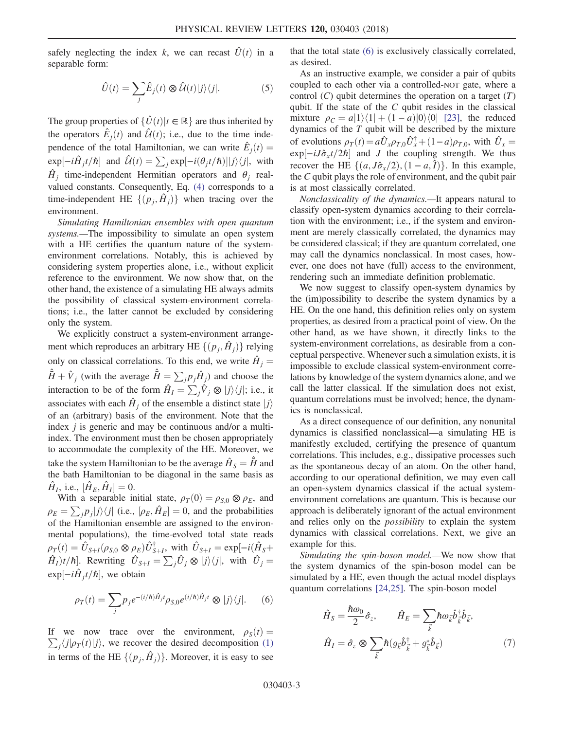safely neglecting the index k, we can recast  $\hat{U}(t)$  in a separable form:

$$
\hat{U}(t) = \sum_{j} \hat{E}_{j}(t) \otimes \hat{U}(t)|j\rangle\langle j|.
$$
 (5)

The group properties of  $\{\hat{U}(t)|t \in \mathbb{R}\}\$  are thus inherited by the operators  $\hat{E}_j(t)$  and  $\hat{\mathcal{U}}(t)$ ; i.e., due to the time independence of the total Hamiltonian, we can write  $\hat{E}_j(t) =$ <br>  $\sum_{x} \text{sgn}[j(\theta, t/\tau)] \times [j(\theta, t/\tau)]$  $\exp[-i\hat{H}_j t/\hbar]$  and  $\hat{\mathcal{U}}(t) = \sum_j \exp[-i(\theta_j t/\hbar)]|j\rangle\langle j|$ , with  $\hat{H}_i$  time-independent Hermitian operators and  $\theta_i$  realvalued constants. Consequently, Eq. [\(4\)](#page-1-2) corresponds to a time-independent HE  $\{(p_i, \hat{H}_i)\}\$  when tracing over the environment.

Simulating Hamiltonian ensembles with open quantum systems.—The impossibility to simulate an open system with a HE certifies the quantum nature of the systemenvironment correlations. Notably, this is achieved by considering system properties alone, i.e., without explicit reference to the environment. We now show that, on the other hand, the existence of a simulating HE always admits the possibility of classical system-environment correlations; i.e., the latter cannot be excluded by considering only the system.

We explicitly construct a system-environment arrangement which reproduces an arbitrary HE  $\{(p_i, H_i)\}\$ relying only on classical correlations. To this end, we write  $\hat{H}_i =$  $\hat{H} + \hat{V}_j$  (with the average  $\hat{H} = \sum_j p_j \hat{H}_j$ ) and choose the interaction to be of the form  $\hat{H}_I = \sum_j \hat{V}_j \otimes |j\rangle\langle j|$ ; i.e., it associates with each  $\hat{H}_i$  of the ensemble a distinct state  $|j\rangle$ of an (arbitrary) basis of the environment. Note that the index  $j$  is generic and may be continuous and/or a multiindex. The environment must then be chosen appropriately to accommodate the complexity of the HE. Moreover, we take the system Hamiltonian to be the average  $\hat{H}_{\rm s} = \bar{H}$  and the bath Hamiltonian to be diagonal in the same basis as  $\hat{H}_I$ , i.e.,  $[\hat{H}_E, \hat{H}_I] = 0$ .<br>With a separable in

With a separable initial state,  $\rho_T(0) = \rho_{S,0} \otimes \rho_E$ , and  $\rho_E = \sum_j p_j |j\rangle\langle j|$  (i.e.,  $[\rho_E, \hat{H}_E] = 0$ , and the probabilities of the Hamiltonian encemble are assigned to the environof the Hamiltonian ensemble are assigned to the environmental populations), the time-evolved total state reads  $\rho_T(t) = \hat{U}_{S+I}(\rho_{S,0} \otimes \rho_E) \hat{U}_{S+I}^{\dagger}$ , with  $\hat{U}_{S+I} = \exp[-i(\hat{H}_S + \hat{U}_{S+I} \otimes \hat{U}_{S+I} \otimes \hat{U}_{S+I} \otimes \hat{U}_{S+I} \otimes \hat{U}_{S+I}]$  $(\hat{H}_I)t/\hbar$ . Rewriting  $\hat{U}_{S+I} = \sum_j \hat{U}_j \otimes |j\rangle\langle j|$ , with  $\hat{U}_j =$  $\exp[-i\hat{H}_j t/\hbar]$ , we obtain

<span id="page-2-0"></span>
$$
\rho_T(t) = \sum_j p_j e^{-(i/\hbar)\hat{H}_jt} \rho_{S,0} e^{(i/\hbar)\hat{H}_jt} \otimes |j\rangle\langle j|.
$$
 (6)

If we now trace over the environment,  $\rho_S(t) = \sum (i |\rho_T(t)| i)$  we recover the desired decomposition (1)  $\sum_j \langle j | \rho_T(t) | j \rangle$ , we recover the desired decomposition [\(1\)](#page-1-1) in terms of the HE  $\{(p_j, H_j)\}\$ . Moreover, it is easy to see that the total state [\(6\)](#page-2-0) is exclusively classically correlated, as desired.

As an instructive example, we consider a pair of qubits coupled to each other via a controlled-NOT gate, where a control  $(C)$  qubit determines the operation on a target  $(T)$ qubit. If the state of the  $C$  qubit resides in the classical mixture  $\rho_C = a|1\rangle\langle 1| + (1 - a)|0\rangle\langle 0|$  [\[23\]](#page-5-4), the reduced dynamics of the  $T$  qubit will be described by the mixture of evolutions  $\rho_T(t) = a\hat{U}_{x}\rho_{T,0}\hat{U}_{x}^{\dagger} + (1-a)\rho_{T,0}$ , with  $\hat{U}_{x} = e^{\kappa \mathbf{p} \cdot \mathbf{p}} \cdot i\hat{K}_{x} + (2b \cdot \mathbf{p} \cdot \mathbf{p})$  and *I* the coupling strength. We thus  $\exp[-iJ\hat{\sigma}_x t/2\hbar]$  and J the coupling strength. We thus<br>recover the HE  $[(a, I\hat{\sigma}/2)(1-a, I)]$  In this example recover the HE  $\{(a, J\hat{\sigma}_x/2), (1 - a, \hat{I})\}$ . In this example,<br>the C qubit plays the role of environment, and the qubit pair the C qubit plays the role of environment, and the qubit pair is at most classically correlated.

Nonclassicality of the dynamics.—It appears natural to classify open-system dynamics according to their correlation with the environment; i.e., if the system and environment are merely classically correlated, the dynamics may be considered classical; if they are quantum correlated, one may call the dynamics nonclassical. In most cases, however, one does not have (full) access to the environment, rendering such an immediate definition problematic.

We now suggest to classify open-system dynamics by the (im)possibility to describe the system dynamics by a HE. On the one hand, this definition relies only on system properties, as desired from a practical point of view. On the other hand, as we have shown, it directly links to the system-environment correlations, as desirable from a conceptual perspective. Whenever such a simulation exists, it is impossible to exclude classical system-environment correlations by knowledge of the system dynamics alone, and we call the latter classical. If the simulation does not exist, quantum correlations must be involved; hence, the dynamics is nonclassical.

As a direct consequence of our definition, any nonunital dynamics is classified nonclassical—a simulating HE is manifestly excluded, certifying the presence of quantum correlations. This includes, e.g., dissipative processes such as the spontaneous decay of an atom. On the other hand, according to our operational definition, we may even call an open-system dynamics classical if the actual systemenvironment correlations are quantum. This is because our approach is deliberately ignorant of the actual environment and relies only on the possibility to explain the system dynamics with classical correlations. Next, we give an example for this.

<span id="page-2-1"></span>Simulating the spin-boson model.—We now show that the system dynamics of the spin-boson model can be simulated by a HE, even though the actual model displays quantum correlations [\[24,25\].](#page-5-5) The spin-boson model

$$
\hat{H}_{S} = \frac{\hbar \omega_{0}}{2} \hat{\sigma}_{z}, \qquad \hat{H}_{E} = \sum_{\vec{k}} \hbar \omega_{\vec{k}} \hat{b}_{\vec{k}}^{\dagger} \hat{b}_{\vec{k}},
$$
\n
$$
\hat{H}_{I} = \hat{\sigma}_{z} \otimes \sum_{\vec{k}} \hbar (g_{\vec{k}} \hat{b}_{\vec{k}}^{\dagger} + g_{\vec{k}}^{*} \hat{b}_{\vec{k}})
$$
\n(7)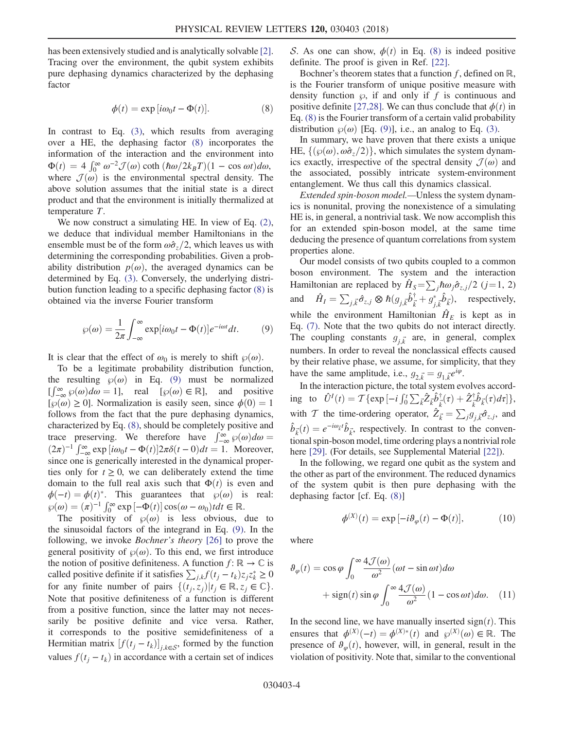<span id="page-3-0"></span>has been extensively studied and is analytically solvable [\[2\]](#page-4-6). Tracing over the environment, the qubit system exhibits pure dephasing dynamics characterized by the dephasing factor

$$
\phi(t) = \exp[i\omega_0 t - \Phi(t)].
$$
\n(8)

In contrast to Eq. [\(3\)](#page-1-3), which results from averaging over a HE, the dephasing factor [\(8\)](#page-3-0) incorporates the information of the interaction and the environment into  $\Phi(t) = 4 \int_0^\infty \omega^{-2} \mathcal{J}(\omega) \coth(\hbar \omega/2k_B T)(1 - \cos \omega t) d\omega$ ,<br>where  $\mathcal{J}(\omega)$  is the environmental spectral density. The where  $\mathcal{J}(\omega)$  is the environmental spectral density. The above solution assumes that the initial state is a direct product and that the environment is initially thermalized at temperature T.

We now construct a simulating HE. In view of Eq. [\(2\)](#page-1-0), we deduce that individual member Hamiltonians in the ensemble must be of the form  $\omega \hat{\sigma}_z/2$ , which leaves us with determining the corresponding probabilities. Given a probability distribution  $p(\omega)$ , the averaged dynamics can be determined by Eq. [\(3\)](#page-1-3). Conversely, the underlying distribution function leading to a specific dephasing factor [\(8\)](#page-3-0) is obtained via the inverse Fourier transform

<span id="page-3-1"></span>
$$
\wp(\omega) = \frac{1}{2\pi} \int_{-\infty}^{\infty} \exp[i\omega_0 t - \Phi(t)] e^{-i\omega t} dt.
$$
 (9)

It is clear that the effect of  $\omega_0$  is merely to shift  $\wp(\omega)$ .

To be a legitimate probability distribution function, the resulting  $\wp(\omega)$  in Eq. [\(9\)](#page-3-1) must be normalized  $\left[\int_{-\infty}^{\infty} \wp(\omega) d\omega = 1\right]$ , real  $\left[\wp(\omega) \in \mathbb{R}\right]$ , and positive  $\left[\wp(\omega) > 0\right]$ . Normalization is easily seen since  $\phi(0) = 1$ .  $[\wp(\omega) \geq 0]$ . Normalization is easily seen, since  $\phi(0) = 1$ follows from the fact that the pure dephasing dynamics, characterized by Eq. [\(8\),](#page-3-0) should be completely positive and trace preserving. We therefore have  $\int_{-\infty}^{\infty} \wp(\omega) d\omega =$ <br>  $(2\pi)^{-1} \int_{-\infty}^{\infty} \exp[i\omega t - \Phi(t)]2\pi\delta(t-0) dt = 1$  Moreover  $(2\pi)^{-1} \int_{-\infty}^{\infty} \exp[i\omega_0 t - \Phi(t)] 2\pi \delta(t-0) dt = 1$ . Moreover, since one is generically interested in the dynamical properties only for  $t \geq 0$ , we can deliberately extend the time domain to the full real axis such that  $\Phi(t)$  is even and  $\phi(-t) = \phi(t)^*$ . This guarantees that  $\wp(\omega)$  is real:  $\wp(\omega) = (\pi)^{-1} \int_0^\infty \exp[-\Phi(t)] \cos(\omega - \omega_0) t dt \in \mathbb{R}$ .<br>The positivity of  $\wp(\omega)$  is less obvious.

The positivity of  $\wp(\omega)$  is less obvious, due to the sinusoidal factors of the integrand in Eq. [\(9\)](#page-3-1). In the following, we invoke Bochner's theory [\[26\]](#page-5-6) to prove the general positivity of  $\wp(\omega)$ . To this end, we first introduce the notion of positive definiteness. A function  $f: \mathbb{R} \to \mathbb{C}$  is called positive definite if it satisfies  $\sum_{j,k} f(t_j - t_k) z_j z_k^* \ge 0$ <br>for any finite number of poirs  $[(t, z_k)]_t \subset \mathbb{R}$  z  $\subset \mathbb{C}$ for any finite number of pairs  $\{(t_i, z_j)|t_i \in \mathbb{R}, z_i \in \mathbb{C}\}.$ Note that positive definiteness of a function is different from a positive function, since the latter may not necessarily be positive definite and vice versa. Rather, it corresponds to the positive semidefiniteness of a Hermitian matrix  $[f(t_j - t_k)]_{j,k \in S}$ , formed by the function<br>yelves  $f(t_{k-1}, t_k)$  in accordance with a certain act of indicate values  $f(t_j - t_k)$  in accordance with a certain set of indices S. As one can show,  $\phi(t)$  in Eq. [\(8\)](#page-3-0) is indeed positive definite. The proof is given in Ref. [\[22\].](#page-5-3)

Bochner's theorem states that a function f, defined on  $\mathbb{R}$ , is the Fourier transform of unique positive measure with density function  $\wp$ , if and only if f is continuous and positive definite [\[27,28\].](#page-5-7) We can thus conclude that  $\phi(t)$  in Eq. [\(8\)](#page-3-0) is the Fourier transform of a certain valid probability distribution  $\wp(\omega)$  [Eq. [\(9\)](#page-3-1)], i.e., an analog to Eq. [\(3\)](#page-1-3).

In summary, we have proven that there exists a unique HE,  $\{\phi(\omega), \omega \hat{\sigma}_z/2\}$ , which simulates the system dynamics exactly, irrespective of the spectral density  $\mathcal{J}(\omega)$  and the associated, possibly intricate system-environment entanglement. We thus call this dynamics classical.

Extended spin-boson model.—Unless the system dynamics is nonunital, proving the nonexistence of a simulating HE is, in general, a nontrivial task. We now accomplish this for an extended spin-boson model, at the same time deducing the presence of quantum correlations from system properties alone.

Our model consists of two qubits coupled to a common boson environment. The system and the interaction Hamiltonian are replaced by  $\hat{H}_{S} = \sum_{i} \hbar \omega_{i} \hat{\sigma}_{z,i} / 2$  (j=1, 2) and  $\hat{H}_I = \sum_{j,\vec{k}} \hat{\sigma}_{z,j} \otimes \hbar (g_{j,\vec{k}} \hat{b}_{\vec{k}}^{\dagger} + g_{j,\vec{k}}^* \hat{b}_{\vec{k}}^{\dagger}),$  respectively, ⃗ while the environment Hamiltonian  $\hat{H}_E$  is kept as in Eq. [\(7\)](#page-2-1). Note that the two qubits do not interact directly. The coupling constants  $g_{i\vec{k}}$  are, in general, complex numbers. In order to reveal the nonclassical effects caused by their relative phase, we assume, for simplicity, that they have the same amplitude, i.e.,  $g_{2,\vec{k}} = g_{1,\vec{k}} e^{i\varphi}$ .<br>In the interaction picture, the total system as

In the interaction picture, the total system evolves according to  $\hat{U}^{I}(t) = \mathcal{T}\{\exp[-i\int_{0}^{t}\sum_{\vec{k}}\hat{Z}_{\vec{k}}\hat{b}_{\vec{k}}^{\dagger}(\tau) + \hat{Z}_{\vec{k}}^{\dagger}\hat{b}_{\vec{k}}(\tau)d\tau]\},$ ⃗ ⃗ with T the time-ordering operator,  $\hat{Z}_{\vec{k}} = \sum_j g_{j,\vec{k}} \hat{\sigma}_{z,j}$ , and  $\hat{b}_{\vec{k}}(t) = e^{-i\omega_{\vec{k}}t} \hat{b}_{\vec{k}}$ , respectively. In contrast to the conventional spin-boson model time ordering plays a pontrivial role tional spin-boson model, time ordering plays a nontrivial role here [\[29\].](#page-5-8) (For details, see Supplemental Material [\[22\]\)](#page-5-3).

In the following, we regard one qubit as the system and the other as part of the environment. The reduced dynamics of the system qubit is then pure dephasing with the dephasing factor [cf. Eq. [\(8\)](#page-3-0)]

$$
\phi^{(X)}(t) = \exp\left[-i\theta_{\varphi}(t) - \Phi(t)\right],\tag{10}
$$

where

$$
\vartheta_{\varphi}(t) = \cos \varphi \int_0^{\infty} \frac{4\mathcal{J}(\omega)}{\omega^2} (\omega t - \sin \omega t) d\omega \n+ \text{sign}(t) \sin \varphi \int_0^{\infty} \frac{4\mathcal{J}(\omega)}{\omega^2} (1 - \cos \omega t) d\omega.
$$
 (11)

In the second line, we have manually inserted  $sign(t)$ . This ensures that  $\phi^{(X)}(-t) = \phi^{(X)*}(t)$  and  $\wp^{(X)}(\omega) \in \mathbb{R}$ . The presence of  $\mathcal{R}(t)$  however will in general result in the presence of  $\theta_{\varphi}(t)$ , however, will, in general, result in the violation of positivity. Note that, similar to the conventional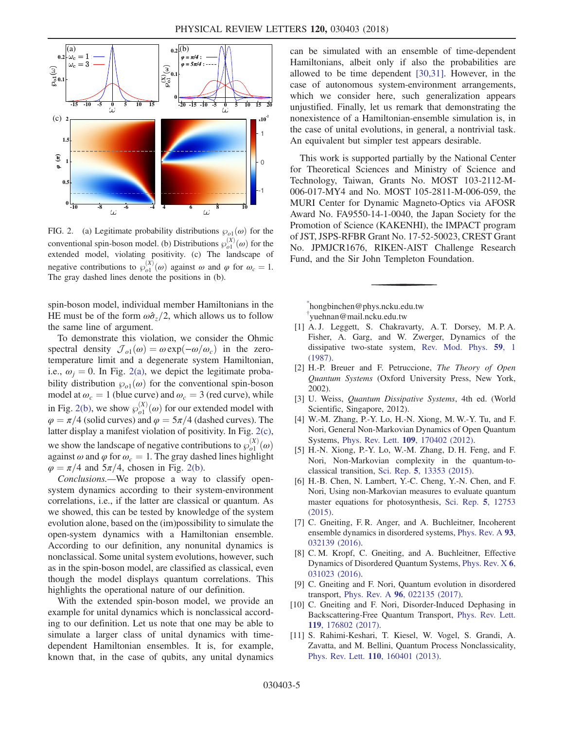<span id="page-4-7"></span>

FIG. 2. (a) Legitimate probability distributions  $\wp_{o1}(\omega)$  for the conventional spin-boson model. (b) Distributions  $\wp_{o1}^{(X)}(\omega)$  for the extended model violating positivity (c). The landscape of extended model, violating positivity. (c) The landscape of negative contributions to  $\wp_{o1}^{(X)}(\omega)$  against  $\omega$  and  $\varphi$  for  $\omega_c = 1$ .<br>The gray dashed lines denote the positions in (b) The gray dashed lines denote the positions in (b).

spin-boson model, individual member Hamiltonians in the HE must be of the form  $\omega \hat{\sigma}_z/2$ , which allows us to follow the same line of argument.

To demonstrate this violation, we consider the Ohmic spectral density  $\mathcal{J}_{o1}(\omega) = \omega \exp(-\omega/\omega_c)$  in the zerotemperature limit and a degenerate system Hamiltonian, i.e.,  $\omega_i = 0$ . In Fig. [2\(a\),](#page-4-7) we depict the legitimate probability distribution  $\varphi_{o1}(\omega)$  for the conventional spin-boson model at  $\omega_c = 1$  (blue curve) and  $\omega_c = 3$  (red curve), while in Fig. [2\(b\)](#page-4-7), we show  $\wp_{o1}^{(X)}(\omega)$  for our extended model with  $\omega = \pi/4$  (solid curves) and  $\omega = 5\pi/4$  (dashed curves). The  $\varphi = \pi/4$  (solid curves) and  $\varphi = 5\pi/4$  (dashed curves). The latter display a manifest violation of positivity. In Fig. [2\(c\)](#page-4-7), we show the landscape of negative contributions to  $\wp_{o1}^{(X)}(\omega)$ <br>against  $\omega$  and  $\omega$  for  $\omega = 1$ . The gray dashed lines highlight against  $\omega$  and  $\varphi$  for  $\omega_c = 1$ . The gray dashed lines highlight  $\varphi = \pi/4$  and  $5\pi/4$ , chosen in Fig. [2\(b\)](#page-4-7).

Conclusions.—We propose a way to classify opensystem dynamics according to their system-environment correlations, i.e., if the latter are classical or quantum. As we showed, this can be tested by knowledge of the system evolution alone, based on the (im)possibility to simulate the open-system dynamics with a Hamiltonian ensemble. According to our definition, any nonunital dynamics is nonclassical. Some unital system evolutions, however, such as in the spin-boson model, are classified as classical, even though the model displays quantum correlations. This highlights the operational nature of our definition.

With the extended spin-boson model, we provide an example for unital dynamics which is nonclassical according to our definition. Let us note that one may be able to simulate a larger class of unital dynamics with timedependent Hamiltonian ensembles. It is, for example, known that, in the case of qubits, any unital dynamics can be simulated with an ensemble of time-dependent Hamiltonians, albeit only if also the probabilities are allowed to be time dependent [\[30,31\].](#page-5-9) However, in the case of autonomous system-environment arrangements, which we consider here, such generalization appears unjustified. Finally, let us remark that demonstrating the nonexistence of a Hamiltonian-ensemble simulation is, in the case of unital evolutions, in general, a nontrivial task. An equivalent but simpler test appears desirable.

This work is supported partially by the National Center for Theoretical Sciences and Ministry of Science and Technology, Taiwan, Grants No. MOST 103-2112-M-006-017-MY4 and No. MOST 105-2811-M-006-059, the MURI Center for Dynamic Magneto-Optics via AFOSR Award No. FA9550-14-1-0040, the Japan Society for the Promotion of Science (KAKENHI), the IMPACT program of JST, JSPS-RFBR Grant No. 17-52-50023, CREST Grant No. JPMJCR1676, RIKEN-AIST Challenge Research Fund, and the Sir John Templeton Foundation.

<span id="page-4-2"></span><span id="page-4-1"></span><span id="page-4-0"></span>[\\*](#page-0-1) hongbinchen@phys.ncku.edu.tw [†](#page-0-1) yuehnan@mail.ncku.edu.tw

- [1] A. J. Leggett, S. Chakravarty, A. T. Dorsey, M. P. A. Fisher, A. Garg, and W. Zwerger, Dynamics of the dissipative two-state system, [Rev. Mod. Phys.](https://doi.org/10.1103/RevModPhys.59.1) 59, 1 [\(1987\).](https://doi.org/10.1103/RevModPhys.59.1)
- <span id="page-4-6"></span>[2] H.-P. Breuer and F. Petruccione, The Theory of Open Quantum Systems (Oxford University Press, New York, 2002).
- [3] U. Weiss, *Quantum Dissipative Systems*, 4th ed. (World Scientific, Singapore, 2012).
- [4] W.-M. Zhang, P.-Y. Lo, H.-N. Xiong, M. W.-Y. Tu, and F. Nori, General Non-Markovian Dynamics of Open Quantum Systems, Phys. Rev. Lett. 109[, 170402 \(2012\).](https://doi.org/10.1103/PhysRevLett.109.170402)
- [5] H.-N. Xiong, P.-Y. Lo, W.-M. Zhang, D. H. Feng, and F. Nori, Non-Markovian complexity in the quantum-toclassical transition, Sci. Rep. 5[, 13353 \(2015\)](https://doi.org/10.1038/srep13353).
- <span id="page-4-3"></span>[6] H.-B. Chen, N. Lambert, Y.-C. Cheng, Y.-N. Chen, and F. Nori, Using non-Markovian measures to evaluate quantum master equations for photosynthesis, [Sci. Rep.](https://doi.org/10.1038/srep12753) 5, 12753 [\(2015\).](https://doi.org/10.1038/srep12753)
- <span id="page-4-5"></span>[7] C. Gneiting, F. R. Anger, and A. Buchleitner, Incoherent ensemble dynamics in disordered systems, [Phys. Rev. A](https://doi.org/10.1103/PhysRevA.93.032139) 93, [032139 \(2016\).](https://doi.org/10.1103/PhysRevA.93.032139)
- [8] C. M. Kropf, C. Gneiting, and A. Buchleitner, Effective Dynamics of Disordered Quantum Systems, [Phys. Rev. X](https://doi.org/10.1103/PhysRevX.6.031023) 6, [031023 \(2016\).](https://doi.org/10.1103/PhysRevX.6.031023)
- [9] C. Gneiting and F. Nori, Quantum evolution in disordered transport, Phys. Rev. A 96[, 022135 \(2017\).](https://doi.org/10.1103/PhysRevA.96.022135)
- <span id="page-4-4"></span>[10] C. Gneiting and F. Nori, Disorder-Induced Dephasing in Backscattering-Free Quantum Transport, [Phys. Rev. Lett.](https://doi.org/10.1103/PhysRevLett.119.176802) 119[, 176802 \(2017\).](https://doi.org/10.1103/PhysRevLett.119.176802)
- [11] S. Rahimi-Keshari, T. Kiesel, W. Vogel, S. Grandi, A. Zavatta, and M. Bellini, Quantum Process Nonclassicality, Phys. Rev. Lett. 110[, 160401 \(2013\).](https://doi.org/10.1103/PhysRevLett.110.160401)